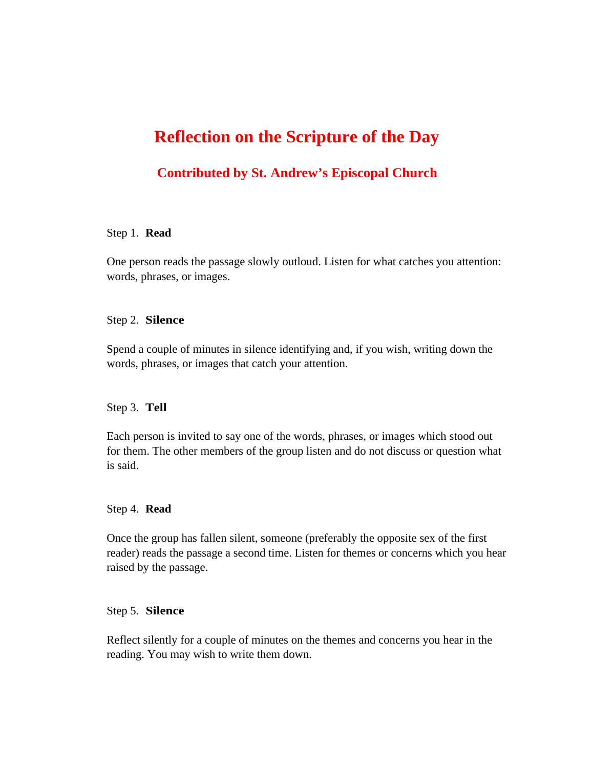# **Reflection on the Scripture of the Day**

# **Contributed by St. Andrew's Episcopal Church**

# Step 1. **Read**

One person reads the passage slowly outloud. Listen for what catches you attention: words, phrases, or images.

# Step 2. **Silence**

Spend a couple of minutes in silence identifying and, if you wish, writing down the words, phrases, or images that catch your attention.

# Step 3. **Tell**

Each person is invited to say one of the words, phrases, or images which stood out for them. The other members of the group listen and do not discuss or question what is said.

#### Step 4. **Read**

Once the group has fallen silent, someone (preferably the opposite sex of the first reader) reads the passage a second time. Listen for themes or concerns which you hear raised by the passage.

#### Step 5. **Silence**

Reflect silently for a couple of minutes on the themes and concerns you hear in the reading. You may wish to write them down.